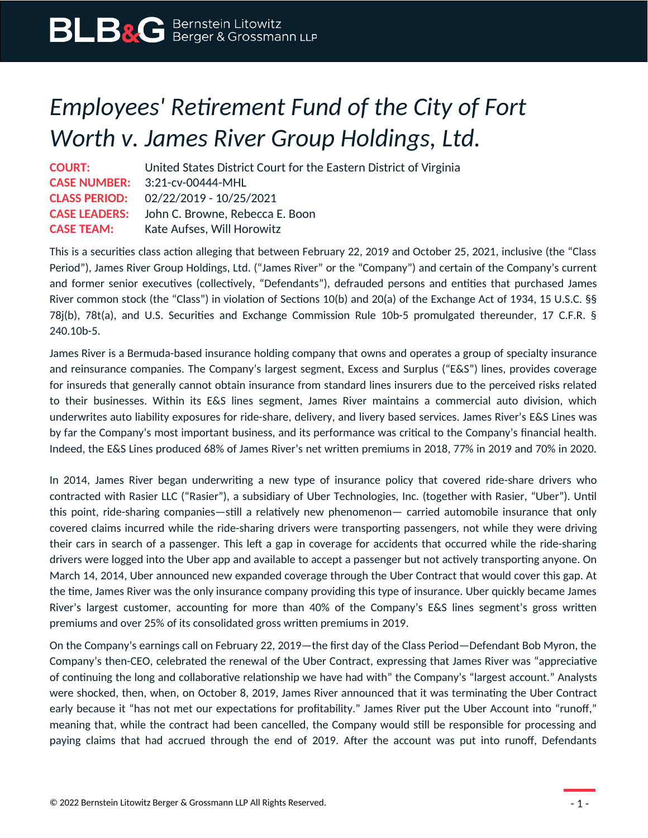## *Employees' Retirement Fund of the City of Fort Worth v. James River Group Holdings, Ltd.*

**COURT:** United States District Court for the Eastern District of Virginia **CASE NUMBER:** 3:21-cv-00444-MHL **CLASS PERIOD:** 02/22/2019 - 10/25/2021 **CASE LEADERS:** John C. Browne, Rebecca E. Boon **CASE TEAM:** Kate Aufses, Will Horowitz

This is a securities class action alleging that between February 22, 2019 and October 25, 2021, inclusive (the "Class Period"), James River Group Holdings, Ltd. ("James River" or the "Company") and certain of the Company's current and former senior executives (collectively, "Defendants"), defrauded persons and entities that purchased James River common stock (the "Class") in violation of Sections 10(b) and 20(a) of the Exchange Act of 1934, 15 U.S.C. §§ 78j(b), 78t(a), and U.S. Securities and Exchange Commission Rule 10b-5 promulgated thereunder, 17 C.F.R. § 240.10b-5.

James River is a Bermuda-based insurance holding company that owns and operates a group of specialty insurance and reinsurance companies. The Company's largest segment, Excess and Surplus ("E&S") lines, provides coverage for insureds that generally cannot obtain insurance from standard lines insurers due to the perceived risks related to their businesses. Within its E&S lines segment, James River maintains a commercial auto division, which underwrites auto liability exposures for ride-share, delivery, and livery based services. James River's E&S Lines was by far the Company's most important business, and its performance was critical to the Company's financial health. Indeed, the E&S Lines produced 68% of James River's net written premiums in 2018, 77% in 2019 and 70% in 2020.

In 2014, James River began underwriting a new type of insurance policy that covered ride-share drivers who contracted with Rasier LLC ("Rasier"), a subsidiary of Uber Technologies, Inc. (together with Rasier, "Uber"). Until this point, ride-sharing companies—still a relatively new phenomenon— carried automobile insurance that only covered claims incurred while the ride-sharing drivers were transporting passengers, not while they were driving their cars in search of a passenger. This left a gap in coverage for accidents that occurred while the ride-sharing drivers were logged into the Uber app and available to accept a passenger but not actively transporting anyone. On March 14, 2014, Uber announced new expanded coverage through the Uber Contract that would cover this gap. At the time, James River was the only insurance company providing this type of insurance. Uber quickly became James River's largest customer, accounting for more than 40% of the Company's E&S lines segment's gross written premiums and over 25% of its consolidated gross written premiums in 2019.

On the Company's earnings call on February 22, 2019—the first day of the Class Period—Defendant Bob Myron, the Company's then-CEO, celebrated the renewal of the Uber Contract, expressing that James River was "appreciative of continuing the long and collaborative relationship we have had with" the Company's "largest account." Analysts were shocked, then, when, on October 8, 2019, James River announced that it was terminating the Uber Contract early because it "has not met our expectations for profitability." James River put the Uber Account into "runoff," meaning that, while the contract had been cancelled, the Company would still be responsible for processing and paying claims that had accrued through the end of 2019. After the account was put into runoff, Defendants